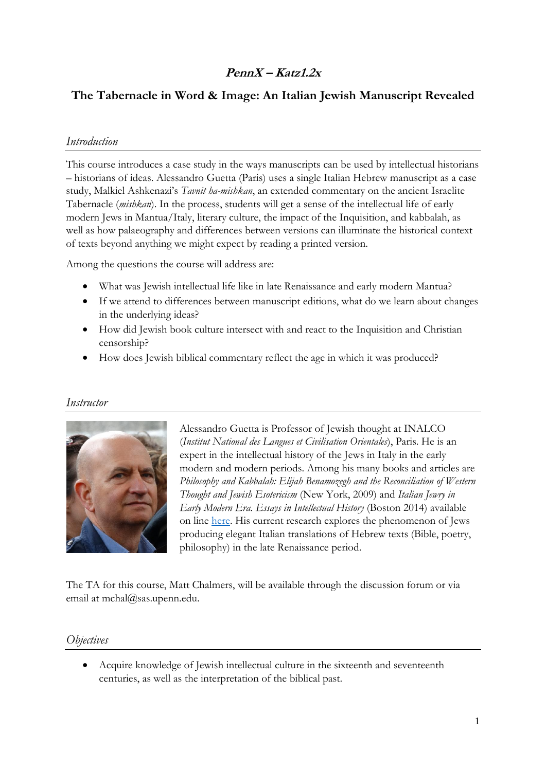# **PennX – Katz1.2x**

## **The Tabernacle in Word & Image: An Italian Jewish Manuscript Revealed**

#### *Introduction*

This course introduces a case study in the ways manuscripts can be used by intellectual historians – historians of ideas. Alessandro Guetta (Paris) uses a single Italian Hebrew manuscript as a case study, Malkiel Ashkenazi's *Tavnit ha-mishkan*, an extended commentary on the ancient Israelite Tabernacle (*mishkan*). In the process, students will get a sense of the intellectual life of early modern Jews in Mantua/Italy, literary culture, the impact of the Inquisition, and kabbalah, as well as how palaeography and differences between versions can illuminate the historical context of texts beyond anything we might expect by reading a printed version.

Among the questions the course will address are:

- What was Jewish intellectual life like in late Renaissance and early modern Mantua?
- If we attend to differences between manuscript editions, what do we learn about changes in the underlying ideas?
- How did Jewish book culture intersect with and react to the Inquisition and Christian censorship?
- How does Jewish biblical commentary reflect the age in which it was produced?

## *Instructor*



Alessandro Guetta is Professor of Jewish thought at INALCO (*Institut National des Langues et Civilisation Orientales*), Paris. He is an expert in the intellectual history of the Jews in Italy in the early modern and modern periods. Among his many books and articles are *Philosophy and Kabbalah: Elijah Benamozegh and the Reconciliation of Western Thought and Jewish Esotericism* (New York, 2009) and *Italian Jewry in Early Modern Era. Essays in Intellectual History* (Boston 2014) available on line [here.](https://www.academicstudiespress.com/repository/) His current research explores the phenomenon of Jews producing elegant Italian translations of Hebrew texts (Bible, poetry, philosophy) in the late Renaissance period.

The TA for this course, Matt Chalmers, will be available through the discussion forum or via email at mchal@sas.upenn.edu.

#### *Objectives*

 Acquire knowledge of Jewish intellectual culture in the sixteenth and seventeenth centuries, as well as the interpretation of the biblical past.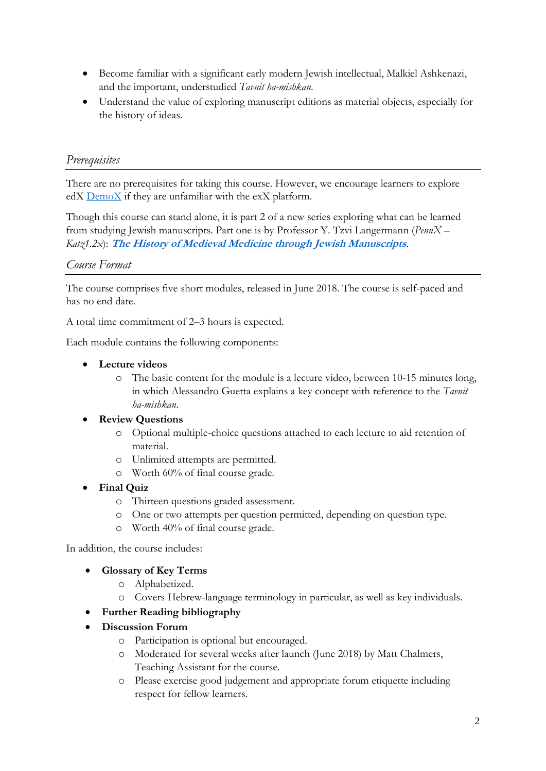- Become familiar with a significant early modern Jewish intellectual, Malkiel Ashkenazi, and the important, understudied *Tavnit ha-mishkan*.
- Understand the value of exploring manuscript editions as material objects, especially for the history of ideas.

## *Prerequisites*

There are no prerequisites for taking this course. However, we encourage learners to explore edX [DemoX](https://www.edx.org/course/demox-edx-demox-1) if they are unfamiliar with the exX platform.

Though this course can stand alone, it is part 2 of a new series exploring what can be learned from studying Jewish manuscripts. Part one is by Professor Y. Tzvi Langermann (*PennX – Katz1.2x*): **[The History of Medieval Medicine through Jewish Manuscripts](https://www.edx.org/course/history-medieval-medicine-through-jewish-pennx-katz1-1x)**.

#### *Course Format*

The course comprises five short modules, released in June 2018. The course is self-paced and has no end date.

A total time commitment of 2–3 hours is expected.

Each module contains the following components:

- **Lecture videos**
	- o The basic content for the module is a lecture video, between 10-15 minutes long, in which Alessandro Guetta explains a key concept with reference to the *Tavnit ha-mishkan*.

#### **Review Questions**

- o Optional multiple-choice questions attached to each lecture to aid retention of material.
- o Unlimited attempts are permitted.
- o Worth 60% of final course grade.
- **Final Quiz**
	- o Thirteen questions graded assessment.
	- o One or two attempts per question permitted, depending on question type.
	- o Worth 40% of final course grade.

In addition, the course includes:

- **Glossary of Key Terms**
	- o Alphabetized.
	- o Covers Hebrew-language terminology in particular, as well as key individuals.
- **Further Reading bibliography**
- **Discussion Forum**
	- o Participation is optional but encouraged.
	- o Moderated for several weeks after launch (June 2018) by Matt Chalmers, Teaching Assistant for the course.
	- o Please exercise good judgement and appropriate forum etiquette including respect for fellow learners.